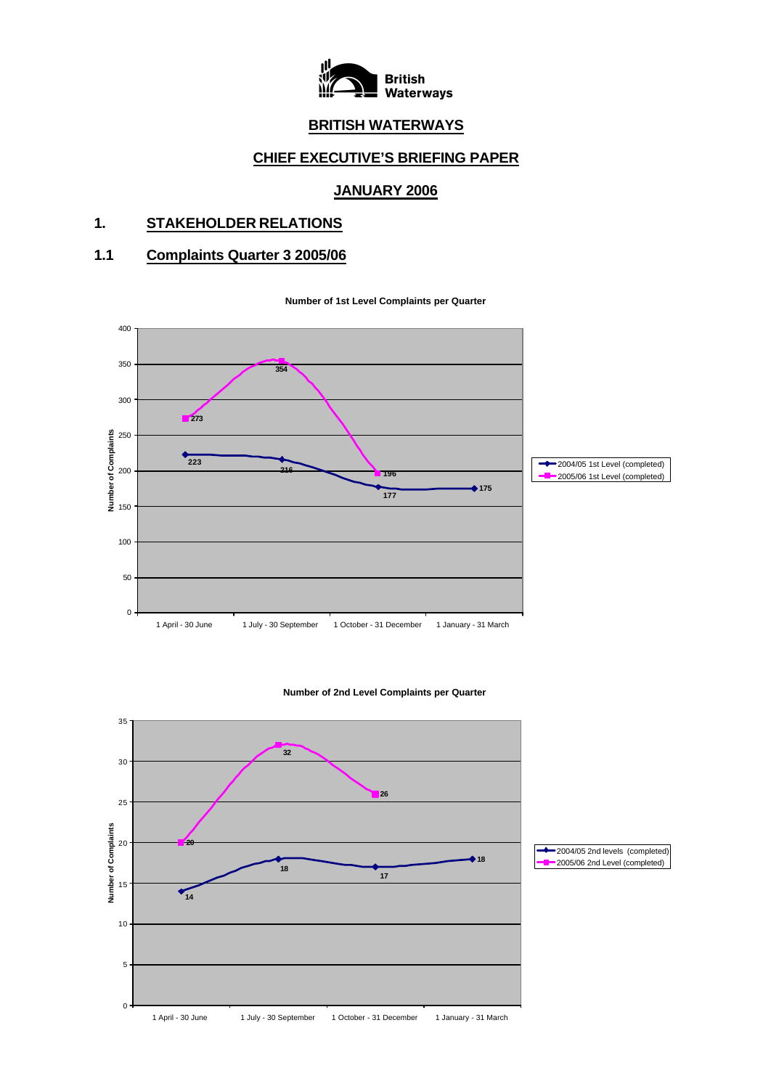

# **BRITISH WATERWAYS**

# **CHIEF EXECUTIVE'S BRIEFING PAPER**

# **JANUARY 2006**

# **1. STAKEHOLDER RELATIONS**

# **1.1 Complaints Quarter 3 2005/06**

**Number of 1st Level Complaints per Quarter**



#### **Number of 2nd Level Complaints per Quarter**

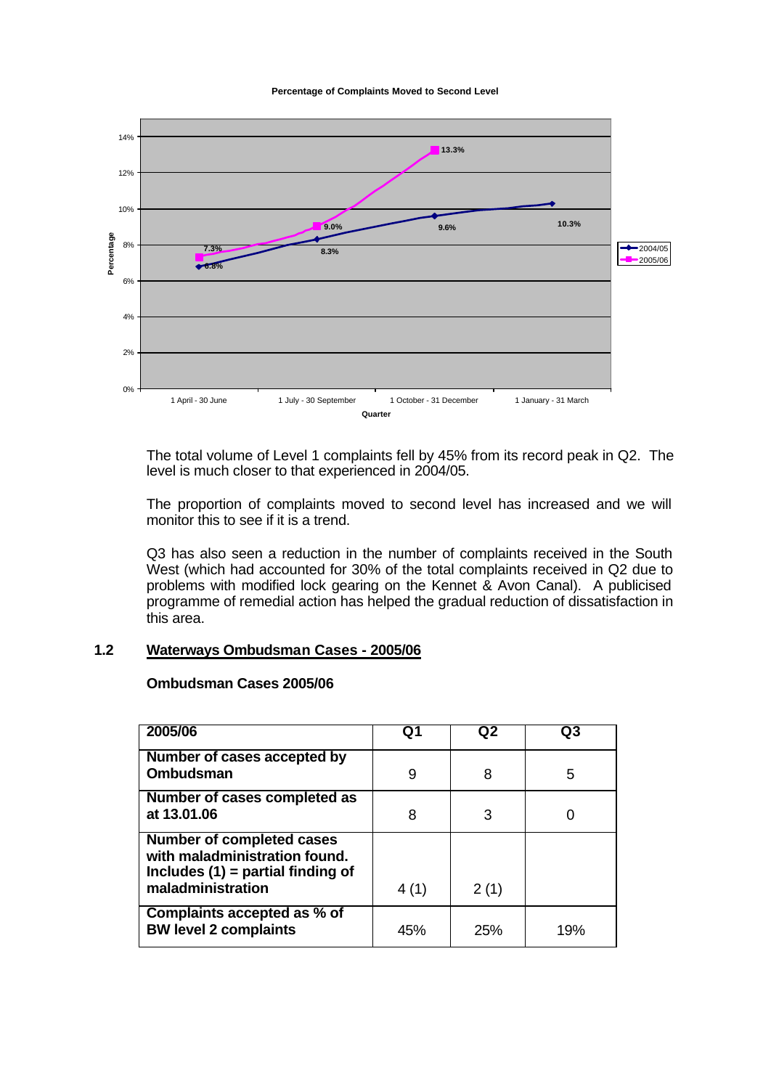**Percentage of Complaints Moved to Second Level** 



The total volume of Level 1 complaints fell by 45% from its record peak in Q2. The level is much closer to that experienced in 2004/05.

The proportion of complaints moved to second level has increased and we will monitor this to see if it is a trend.

Q3 has also seen a reduction in the number of complaints received in the South West (which had accounted for 30% of the total complaints received in Q2 due to problems with modified lock gearing on the Kennet & Avon Canal). A publicised programme of remedial action has helped the gradual reduction of dissatisfaction in this area.

# **1.2 Waterways Ombudsman Cases - 2005/06**

#### **Ombudsman Cases 2005/06**

| 2005/06                                                                                                                       | Q1   | Q2   | Q3  |
|-------------------------------------------------------------------------------------------------------------------------------|------|------|-----|
| Number of cases accepted by<br><b>Ombudsman</b>                                                                               | 9    | 8    | 5   |
| Number of cases completed as<br>at 13.01.06                                                                                   | 8    | 3    |     |
| <b>Number of completed cases</b><br>with maladministration found.<br>Includes $(1)$ = partial finding of<br>maladministration | 4(1) | 2(1) |     |
| Complaints accepted as % of<br><b>BW level 2 complaints</b>                                                                   | 45%  | 25%  | 19% |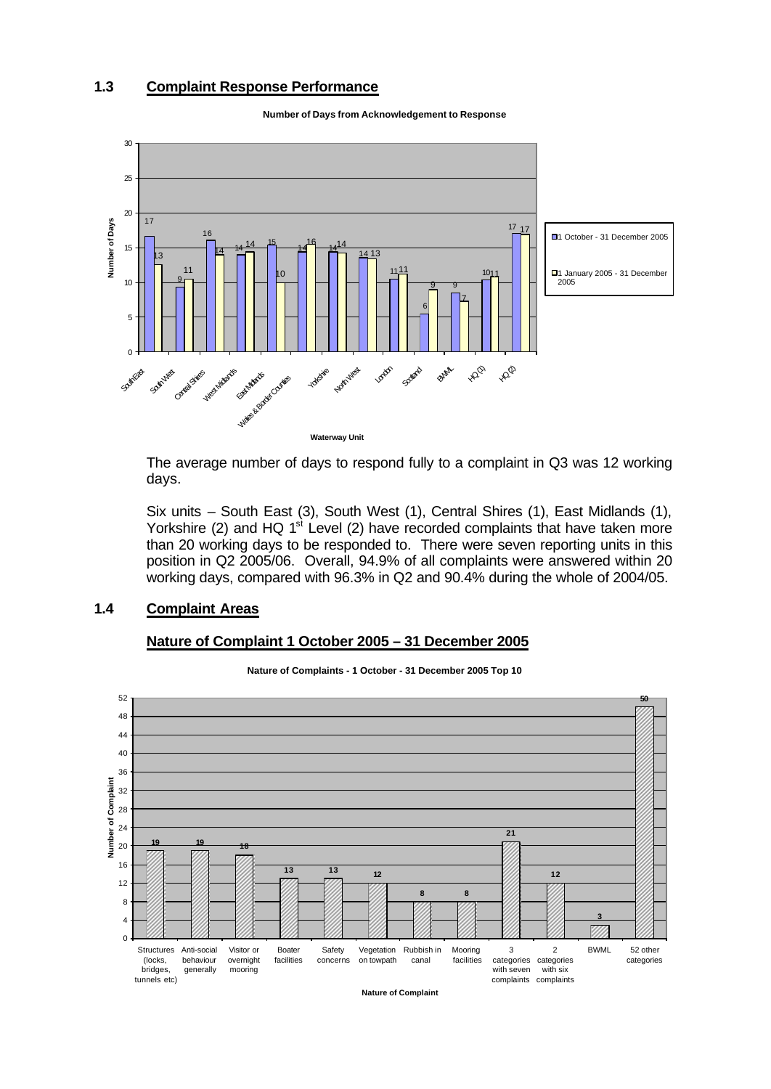# **1.3 Complaint Response Performance**



**Number of Days from Acknowledgement to Response**

The average number of days to respond fully to a complaint in Q3 was 12 working days.

Six units – South East (3), South West (1), Central Shires (1), East Midlands (1), Yorkshire (2) and HQ  $1<sup>st</sup>$  Level (2) have recorded complaints that have taken more than 20 working days to be responded to. There were seven reporting units in this position in Q2 2005/06. Overall, 94.9% of all complaints were answered within 20 working days, compared with 96.3% in Q2 and 90.4% during the whole of 2004/05.

## **1.4 Complaint Areas**

#### **Nature of Complaint 1 October 2005 – 31 December 2005**



**Nature of Complaints - 1 October - 31 December 2005 Top 10**

**Nature of Complaint**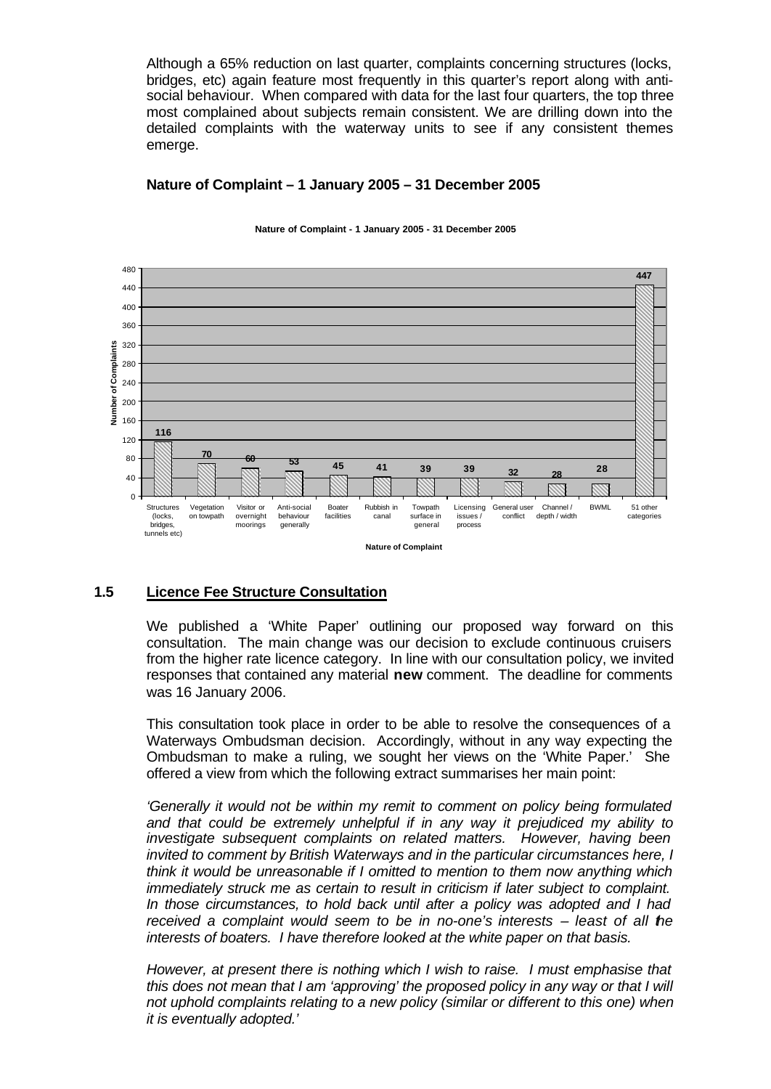Although a 65% reduction on last quarter, complaints concerning structures (locks, bridges, etc) again feature most frequently in this quarter's report along with antisocial behaviour. When compared with data for the last four quarters, the top three most complained about subjects remain consistent. We are drilling down into the detailed complaints with the waterway units to see if any consistent themes emerge.

# **Nature of Complaint – 1 January 2005 – 31 December 2005**



#### **Nature of Complaint - 1 January 2005 - 31 December 2005**

### **1.5 Licence Fee Structure Consultation**

We published a 'White Paper' outlining our proposed way forward on this consultation. The main change was our decision to exclude continuous cruisers from the higher rate licence category. In line with our consultation policy, we invited responses that contained any material **new** comment. The deadline for comments was 16 January 2006.

This consultation took place in order to be able to resolve the consequences of a Waterways Ombudsman decision. Accordingly, without in any way expecting the Ombudsman to make a ruling, we sought her views on the 'White Paper.' She offered a view from which the following extract summarises her main point:

*'Generally it would not be within my remit to comment on policy being formulated and that could be extremely unhelpful if in any way it prejudiced my ability to investigate subsequent complaints on related matters. However, having been invited to comment by British Waterways and in the particular circumstances here, I think it would be unreasonable if I omitted to mention to them now anything which immediately struck me as certain to result in criticism if later subject to complaint. In those circumstances, to hold back until after a policy was adopted and I had received a complaint would seem to be in no-one's interests – least of all the interests of boaters. I have therefore looked at the white paper on that basis.*

*However, at present there is nothing which I wish to raise. I must emphasise that this does not mean that I am 'approving' the proposed policy in any way or that I will not uphold complaints relating to a new policy (similar or different to this one) when it is eventually adopted.'*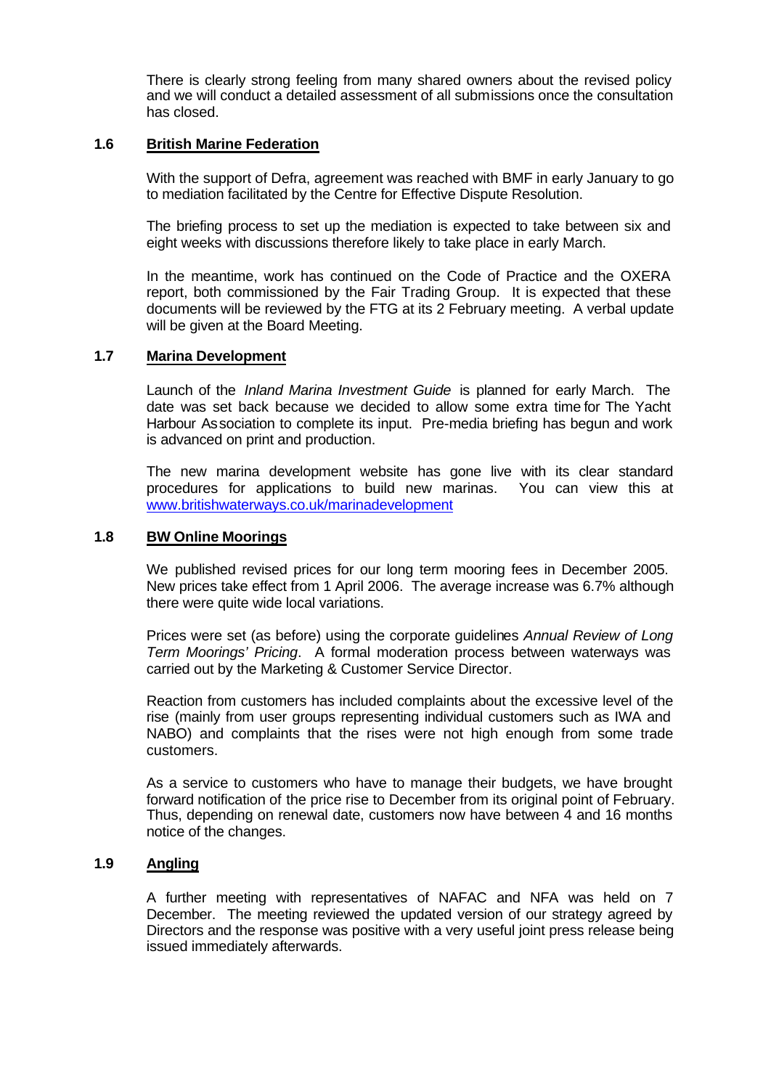There is clearly strong feeling from many shared owners about the revised policy and we will conduct a detailed assessment of all submissions once the consultation has closed.

# **1.6 British Marine Federation**

With the support of Defra, agreement was reached with BMF in early January to go to mediation facilitated by the Centre for Effective Dispute Resolution.

The briefing process to set up the mediation is expected to take between six and eight weeks with discussions therefore likely to take place in early March.

In the meantime, work has continued on the Code of Practice and the OXERA report, both commissioned by the Fair Trading Group. It is expected that these documents will be reviewed by the FTG at its 2 February meeting. A verbal update will be given at the Board Meeting.

## **1.7 Marina Development**

Launch of the *Inland Marina Investment Guide* is planned for early March. The date was set back because we decided to allow some extra time for The Yacht Harbour Association to complete its input. Pre-media briefing has begun and work is advanced on print and production.

The new marina development website has gone live with its clear standard procedures for applications to build new marinas. You can view this at www.britishwaterways.co.uk/marinadevelopment

### **1.8 BW Online Moorings**

We published revised prices for our long term mooring fees in December 2005. New prices take effect from 1 April 2006. The average increase was 6.7% although there were quite wide local variations.

Prices were set (as before) using the corporate guidelines *Annual Review of Long Term Moorings' Pricing*. A formal moderation process between waterways was carried out by the Marketing & Customer Service Director.

Reaction from customers has included complaints about the excessive level of the rise (mainly from user groups representing individual customers such as IWA and NABO) and complaints that the rises were not high enough from some trade customers.

As a service to customers who have to manage their budgets, we have brought forward notification of the price rise to December from its original point of February. Thus, depending on renewal date, customers now have between 4 and 16 months notice of the changes.

# **1.9 Angling**

A further meeting with representatives of NAFAC and NFA was held on 7 December. The meeting reviewed the updated version of our strategy agreed by Directors and the response was positive with a very useful joint press release being issued immediately afterwards.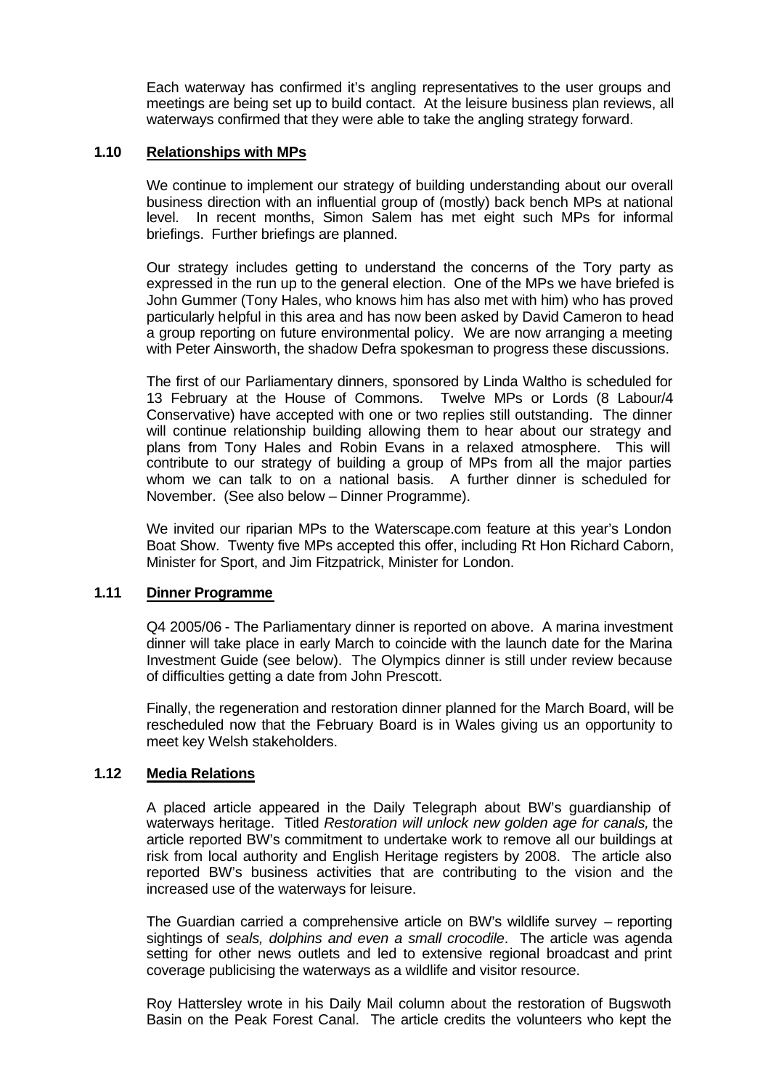Each waterway has confirmed it's angling representatives to the user groups and meetings are being set up to build contact. At the leisure business plan reviews, all waterways confirmed that they were able to take the angling strategy forward.

# **1.10 Relationships with MPs**

We continue to implement our strategy of building understanding about our overall business direction with an influential group of (mostly) back bench MPs at national level. In recent months, Simon Salem has met eight such MPs for informal briefings. Further briefings are planned.

Our strategy includes getting to understand the concerns of the Tory party as expressed in the run up to the general election. One of the MPs we have briefed is John Gummer (Tony Hales, who knows him has also met with him) who has proved particularly helpful in this area and has now been asked by David Cameron to head a group reporting on future environmental policy. We are now arranging a meeting with Peter Ainsworth, the shadow Defra spokesman to progress these discussions.

The first of our Parliamentary dinners, sponsored by Linda Waltho is scheduled for 13 February at the House of Commons. Twelve MPs or Lords (8 Labour/4 Conservative) have accepted with one or two replies still outstanding. The dinner will continue relationship building allowing them to hear about our strategy and plans from Tony Hales and Robin Evans in a relaxed atmosphere. This will contribute to our strategy of building a group of MPs from all the major parties whom we can talk to on a national basis. A further dinner is scheduled for November. (See also below – Dinner Programme).

We invited our riparian MPs to the Waterscape.com feature at this year's London Boat Show. Twenty five MPs accepted this offer, including Rt Hon Richard Caborn, Minister for Sport, and Jim Fitzpatrick, Minister for London.

### **1.11 Dinner Programme**

Q4 2005/06 - The Parliamentary dinner is reported on above. A marina investment dinner will take place in early March to coincide with the launch date for the Marina Investment Guide (see below). The Olympics dinner is still under review because of difficulties getting a date from John Prescott.

Finally, the regeneration and restoration dinner planned for the March Board, will be rescheduled now that the February Board is in Wales giving us an opportunity to meet key Welsh stakeholders.

### **1.12 Media Relations**

A placed article appeared in the Daily Telegraph about BW's guardianship of waterways heritage. Titled *Restoration will unlock new golden age for canals,* the article reported BW's commitment to undertake work to remove all our buildings at risk from local authority and English Heritage registers by 2008. The article also reported BW's business activities that are contributing to the vision and the increased use of the waterways for leisure.

The Guardian carried a comprehensive article on BW's wildlife survey – reporting sightings of *seals, dolphins and even a small crocodile*. The article was agenda setting for other news outlets and led to extensive regional broadcast and print coverage publicising the waterways as a wildlife and visitor resource.

Roy Hattersley wrote in his Daily Mail column about the restoration of Bugswoth Basin on the Peak Forest Canal. The article credits the volunteers who kept the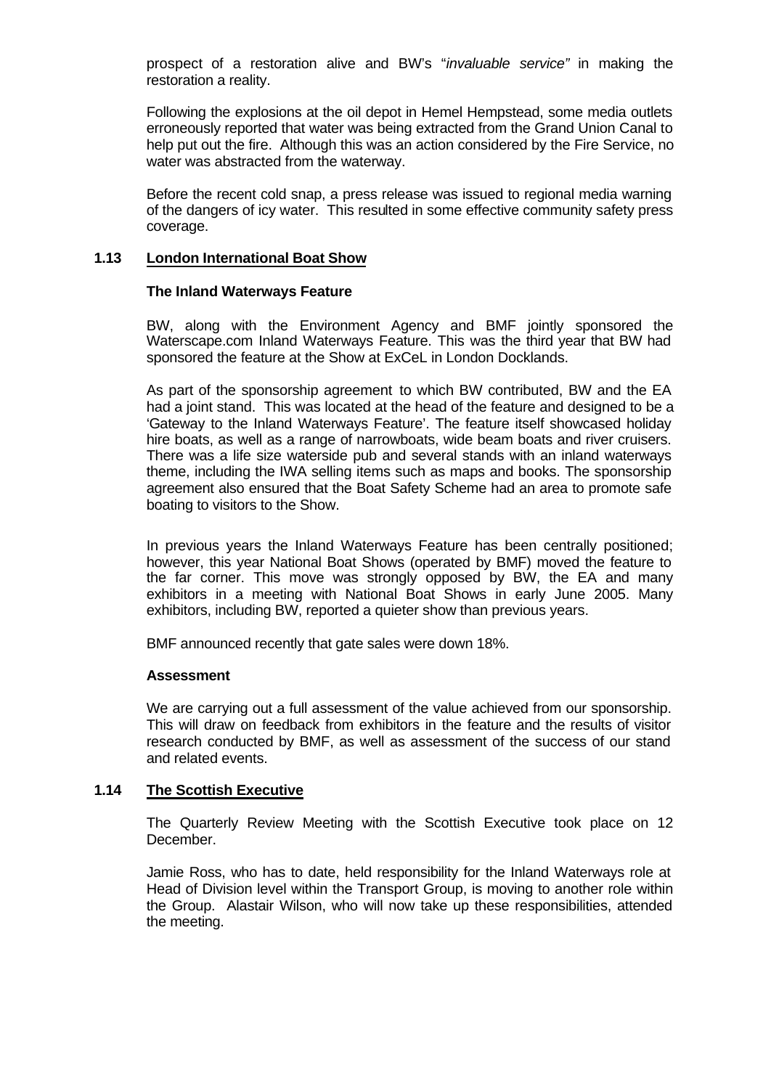prospect of a restoration alive and BW's "*invaluable service"* in making the restoration a reality.

Following the explosions at the oil depot in Hemel Hempstead, some media outlets erroneously reported that water was being extracted from the Grand Union Canal to help put out the fire. Although this was an action considered by the Fire Service, no water was abstracted from the waterway.

Before the recent cold snap, a press release was issued to regional media warning of the dangers of icy water. This resulted in some effective community safety press coverage.

## **1.13 London International Boat Show**

### **The Inland Waterways Feature**

BW, along with the Environment Agency and BMF jointly sponsored the Waterscape.com Inland Waterways Feature. This was the third year that BW had sponsored the feature at the Show at ExCeL in London Docklands.

As part of the sponsorship agreement to which BW contributed, BW and the EA had a joint stand. This was located at the head of the feature and designed to be a 'Gateway to the Inland Waterways Feature'. The feature itself showcased holiday hire boats, as well as a range of narrowboats, wide beam boats and river cruisers. There was a life size waterside pub and several stands with an inland waterways theme, including the IWA selling items such as maps and books. The sponsorship agreement also ensured that the Boat Safety Scheme had an area to promote safe boating to visitors to the Show.

In previous years the Inland Waterways Feature has been centrally positioned; however, this year National Boat Shows (operated by BMF) moved the feature to the far corner. This move was strongly opposed by BW, the EA and many exhibitors in a meeting with National Boat Shows in early June 2005. Many exhibitors, including BW, reported a quieter show than previous years.

BMF announced recently that gate sales were down 18%.

### **Assessment**

We are carrying out a full assessment of the value achieved from our sponsorship. This will draw on feedback from exhibitors in the feature and the results of visitor research conducted by BMF, as well as assessment of the success of our stand and related events.

# **1.14 The Scottish Executive**

The Quarterly Review Meeting with the Scottish Executive took place on 12 December.

Jamie Ross, who has to date, held responsibility for the Inland Waterways role at Head of Division level within the Transport Group, is moving to another role within the Group. Alastair Wilson, who will now take up these responsibilities, attended the meeting.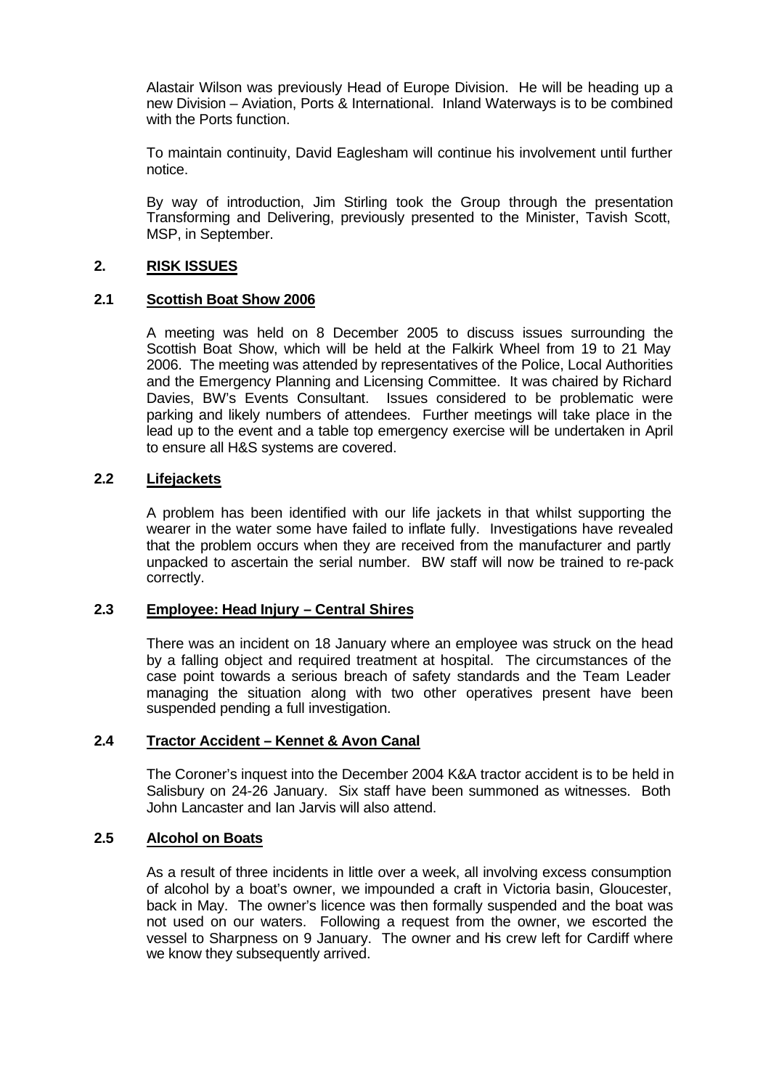Alastair Wilson was previously Head of Europe Division. He will be heading up a new Division – Aviation, Ports & International. Inland Waterways is to be combined with the Ports function.

To maintain continuity, David Eaglesham will continue his involvement until further notice.

By way of introduction, Jim Stirling took the Group through the presentation Transforming and Delivering, previously presented to the Minister, Tavish Scott, MSP, in September.

## **2. RISK ISSUES**

## **2.1 Scottish Boat Show 2006**

A meeting was held on 8 December 2005 to discuss issues surrounding the Scottish Boat Show, which will be held at the Falkirk Wheel from 19 to 21 May 2006. The meeting was attended by representatives of the Police, Local Authorities and the Emergency Planning and Licensing Committee. It was chaired by Richard Davies, BW's Events Consultant. Issues considered to be problematic were parking and likely numbers of attendees. Further meetings will take place in the lead up to the event and a table top emergency exercise will be undertaken in April to ensure all H&S systems are covered.

## **2.2 Lifejackets**

A problem has been identified with our life jackets in that whilst supporting the wearer in the water some have failed to inflate fully. Investigations have revealed that the problem occurs when they are received from the manufacturer and partly unpacked to ascertain the serial number. BW staff will now be trained to re-pack correctly.

### **2.3 Employee: Head Injury – Central Shires**

There was an incident on 18 January where an employee was struck on the head by a falling object and required treatment at hospital. The circumstances of the case point towards a serious breach of safety standards and the Team Leader managing the situation along with two other operatives present have been suspended pending a full investigation.

# **2.4 Tractor Accident – Kennet & Avon Canal**

The Coroner's inquest into the December 2004 K&A tractor accident is to be held in Salisbury on 24-26 January. Six staff have been summoned as witnesses. Both John Lancaster and Ian Jarvis will also attend.

## **2.5 Alcohol on Boats**

As a result of three incidents in little over a week, all involving excess consumption of alcohol by a boat's owner, we impounded a craft in Victoria basin, Gloucester, back in May. The owner's licence was then formally suspended and the boat was not used on our waters. Following a request from the owner, we escorted the vessel to Sharpness on 9 January. The owner and his crew left for Cardiff where we know they subsequently arrived.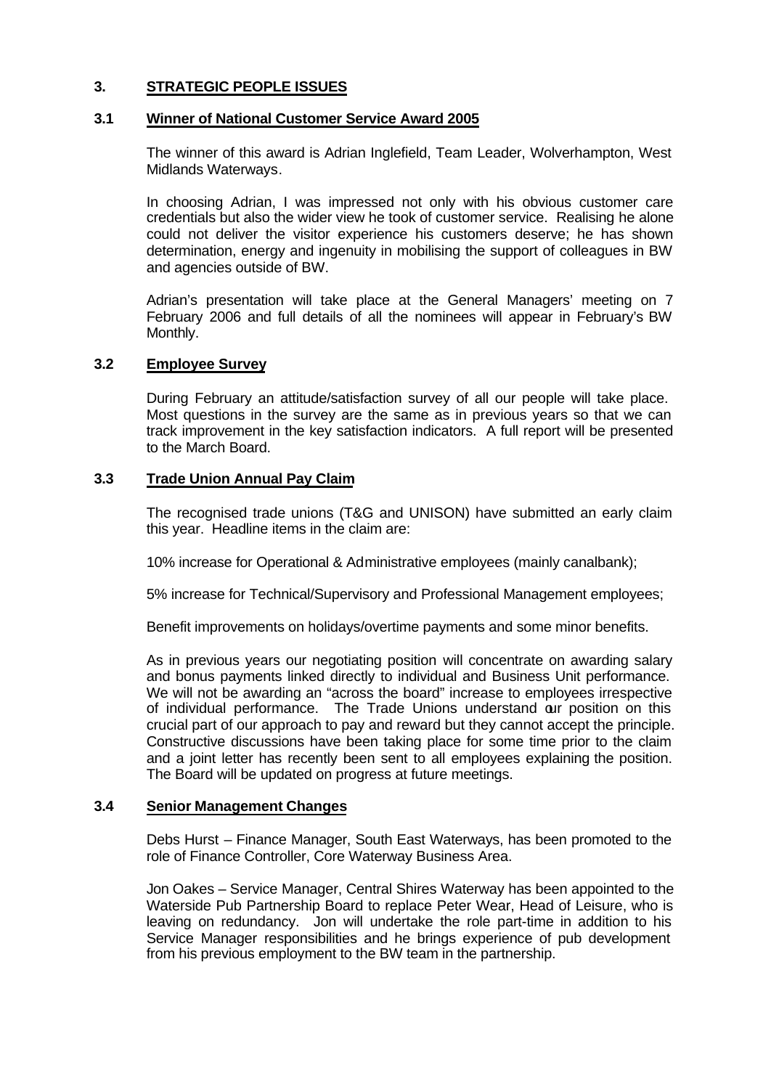# **3. STRATEGIC PEOPLE ISSUES**

## **3.1 Winner of National Customer Service Award 2005**

The winner of this award is Adrian Inglefield, Team Leader, Wolverhampton, West Midlands Waterways.

In choosing Adrian, I was impressed not only with his obvious customer care credentials but also the wider view he took of customer service. Realising he alone could not deliver the visitor experience his customers deserve; he has shown determination, energy and ingenuity in mobilising the support of colleagues in BW and agencies outside of BW.

Adrian's presentation will take place at the General Managers' meeting on 7 February 2006 and full details of all the nominees will appear in February's BW Monthly.

## **3.2 Employee Survey**

During February an attitude/satisfaction survey of all our people will take place. Most questions in the survey are the same as in previous years so that we can track improvement in the key satisfaction indicators. A full report will be presented to the March Board.

## **3.3 Trade Union Annual Pay Claim**

The recognised trade unions (T&G and UNISON) have submitted an early claim this year. Headline items in the claim are:

10% increase for Operational & Administrative employees (mainly canalbank);

5% increase for Technical/Supervisory and Professional Management employees;

Benefit improvements on holidays/overtime payments and some minor benefits.

As in previous years our negotiating position will concentrate on awarding salary and bonus payments linked directly to individual and Business Unit performance. We will not be awarding an "across the board" increase to employees irrespective of individual performance. The Trade Unions understand our position on this crucial part of our approach to pay and reward but they cannot accept the principle. Constructive discussions have been taking place for some time prior to the claim and a joint letter has recently been sent to all employees explaining the position. The Board will be updated on progress at future meetings.

### **3.4 Senior Management Changes**

Debs Hurst – Finance Manager, South East Waterways, has been promoted to the role of Finance Controller, Core Waterway Business Area.

Jon Oakes – Service Manager, Central Shires Waterway has been appointed to the Waterside Pub Partnership Board to replace Peter Wear, Head of Leisure, who is leaving on redundancy. Jon will undertake the role part-time in addition to his Service Manager responsibilities and he brings experience of pub development from his previous employment to the BW team in the partnership.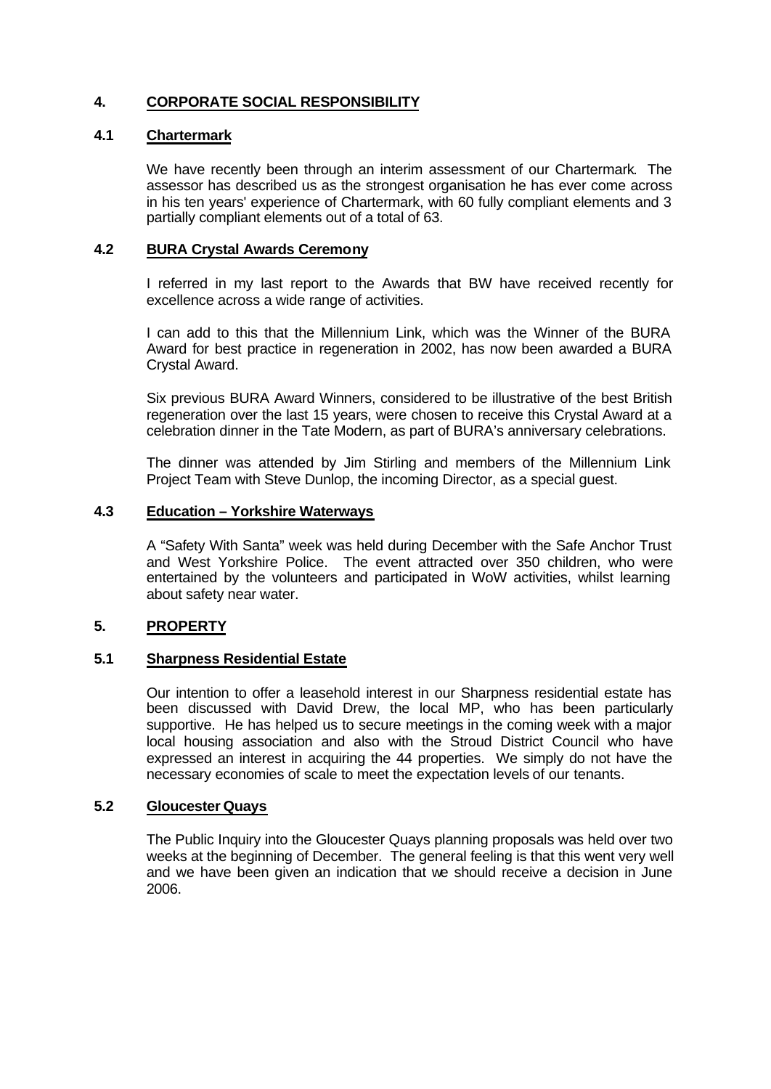# **4. CORPORATE SOCIAL RESPONSIBILITY**

# **4.1 Chartermark**

We have recently been through an interim assessment of our Chartermark. The assessor has described us as the strongest organisation he has ever come across in his ten years' experience of Chartermark, with 60 fully compliant elements and 3 partially compliant elements out of a total of 63.

# **4.2 BURA Crystal Awards Ceremony**

I referred in my last report to the Awards that BW have received recently for excellence across a wide range of activities.

I can add to this that the Millennium Link, which was the Winner of the BURA Award for best practice in regeneration in 2002, has now been awarded a BURA Crystal Award.

Six previous BURA Award Winners, considered to be illustrative of the best British regeneration over the last 15 years, were chosen to receive this Crystal Award at a celebration dinner in the Tate Modern, as part of BURA's anniversary celebrations.

The dinner was attended by Jim Stirling and members of the Millennium Link Project Team with Steve Dunlop, the incoming Director, as a special guest.

### **4.3 Education – Yorkshire Waterways**

A "Safety With Santa" week was held during December with the Safe Anchor Trust and West Yorkshire Police. The event attracted over 350 children, who were entertained by the volunteers and participated in WoW activities, whilst learning about safety near water.

### **5. PROPERTY**

### **5.1 Sharpness Residential Estate**

Our intention to offer a leasehold interest in our Sharpness residential estate has been discussed with David Drew, the local MP, who has been particularly supportive. He has helped us to secure meetings in the coming week with a major local housing association and also with the Stroud District Council who have expressed an interest in acquiring the 44 properties. We simply do not have the necessary economies of scale to meet the expectation levels of our tenants.

# **5.2 Gloucester Quays**

The Public Inquiry into the Gloucester Quays planning proposals was held over two weeks at the beginning of December. The general feeling is that this went very well and we have been given an indication that we should receive a decision in June 2006.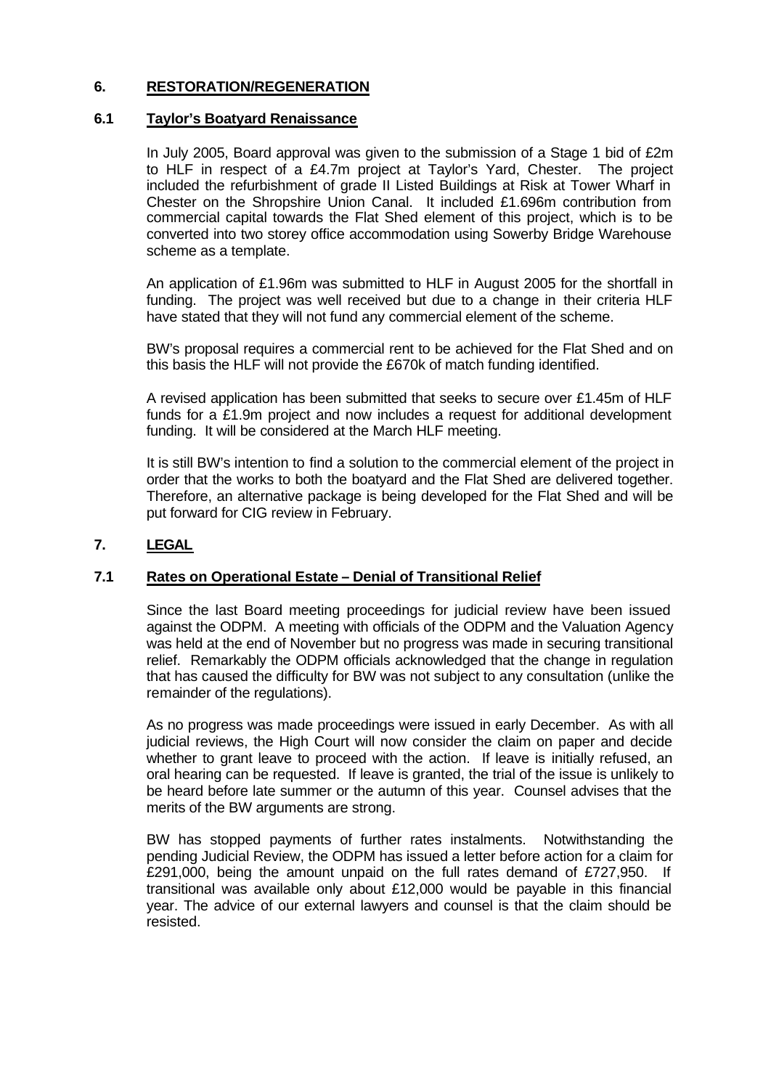# **6. RESTORATION/REGENERATION**

# **6.1 Taylor's Boatyard Renaissance**

In July 2005, Board approval was given to the submission of a Stage 1 bid of £2m to HLF in respect of a £4.7m project at Taylor's Yard, Chester. The project included the refurbishment of grade II Listed Buildings at Risk at Tower Wharf in Chester on the Shropshire Union Canal. It included £1.696m contribution from commercial capital towards the Flat Shed element of this project, which is to be converted into two storey office accommodation using Sowerby Bridge Warehouse scheme as a template.

An application of £1.96m was submitted to HLF in August 2005 for the shortfall in funding. The project was well received but due to a change in their criteria HLF have stated that they will not fund any commercial element of the scheme.

BW's proposal requires a commercial rent to be achieved for the Flat Shed and on this basis the HLF will not provide the £670k of match funding identified.

A revised application has been submitted that seeks to secure over £1.45m of HLF funds for a £1.9m project and now includes a request for additional development funding. It will be considered at the March HLF meeting.

It is still BW's intention to find a solution to the commercial element of the project in order that the works to both the boatyard and the Flat Shed are delivered together. Therefore, an alternative package is being developed for the Flat Shed and will be put forward for CIG review in February.

# **7. LEGAL**

### **7.1 Rates on Operational Estate – Denial of Transitional Relief**

Since the last Board meeting proceedings for judicial review have been issued against the ODPM. A meeting with officials of the ODPM and the Valuation Agency was held at the end of November but no progress was made in securing transitional relief. Remarkably the ODPM officials acknowledged that the change in regulation that has caused the difficulty for BW was not subject to any consultation (unlike the remainder of the regulations).

As no progress was made proceedings were issued in early December. As with all judicial reviews, the High Court will now consider the claim on paper and decide whether to grant leave to proceed with the action. If leave is initially refused, an oral hearing can be requested. If leave is granted, the trial of the issue is unlikely to be heard before late summer or the autumn of this year. Counsel advises that the merits of the BW arguments are strong.

BW has stopped payments of further rates instalments. Notwithstanding the pending Judicial Review, the ODPM has issued a letter before action for a claim for £291,000, being the amount unpaid on the full rates demand of £727,950. If transitional was available only about £12,000 would be payable in this financial year. The advice of our external lawyers and counsel is that the claim should be resisted.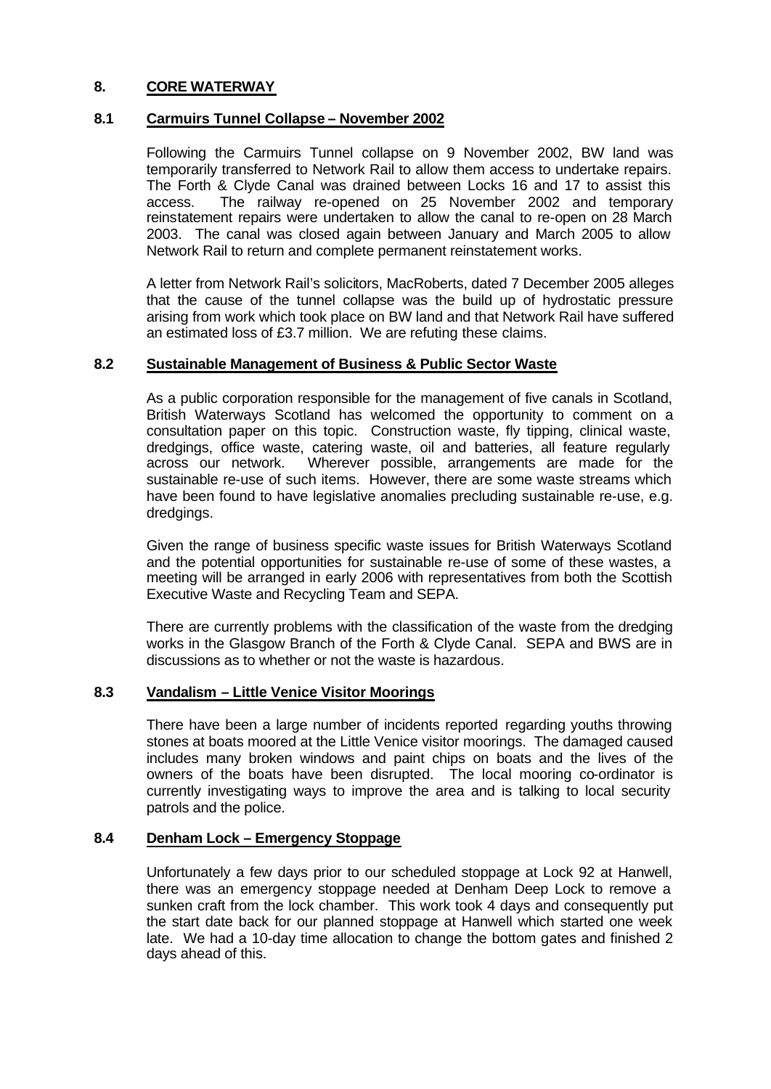# **8. CORE WATERWAY**

# **8.1 Carmuirs Tunnel Collapse – November 2002**

Following the Carmuirs Tunnel collapse on 9 November 2002, BW land was temporarily transferred to Network Rail to allow them access to undertake repairs. The Forth & Clyde Canal was drained between Locks 16 and 17 to assist this access. The railway re-opened on 25 November 2002 and temporary reinstatement repairs were undertaken to allow the canal to re-open on 28 March 2003. The canal was closed again between January and March 2005 to allow Network Rail to return and complete permanent reinstatement works.

A letter from Network Rail's solicitors, MacRoberts, dated 7 December 2005 alleges that the cause of the tunnel collapse was the build up of hydrostatic pressure arising from work which took place on BW land and that Network Rail have suffered an estimated loss of £3.7 million. We are refuting these claims.

### **8.2 Sustainable Management of Business & Public Sector Waste**

As a public corporation responsible for the management of five canals in Scotland, British Waterways Scotland has welcomed the opportunity to comment on a consultation paper on this topic. Construction waste, fly tipping, clinical waste, dredgings, office waste, catering waste, oil and batteries, all feature regularly across our network. Wherever possible, arrangements are made for the sustainable re-use of such items. However, there are some waste streams which have been found to have legislative anomalies precluding sustainable re-use, e.g. dredgings.

Given the range of business specific waste issues for British Waterways Scotland and the potential opportunities for sustainable re-use of some of these wastes, a meeting will be arranged in early 2006 with representatives from both the Scottish Executive Waste and Recycling Team and SEPA.

There are currently problems with the classification of the waste from the dredging works in the Glasgow Branch of the Forth & Clyde Canal. SEPA and BWS are in discussions as to whether or not the waste is hazardous.

# **8.3 Vandalism – Little Venice Visitor Moorings**

There have been a large number of incidents reported regarding youths throwing stones at boats moored at the Little Venice visitor moorings. The damaged caused includes many broken windows and paint chips on boats and the lives of the owners of the boats have been disrupted. The local mooring co-ordinator is currently investigating ways to improve the area and is talking to local security patrols and the police.

# **8.4 Denham Lock – Emergency Stoppage**

Unfortunately a few days prior to our scheduled stoppage at Lock 92 at Hanwell, there was an emergency stoppage needed at Denham Deep Lock to remove a sunken craft from the lock chamber. This work took 4 days and consequently put the start date back for our planned stoppage at Hanwell which started one week late. We had a 10-day time allocation to change the bottom gates and finished 2 days ahead of this.